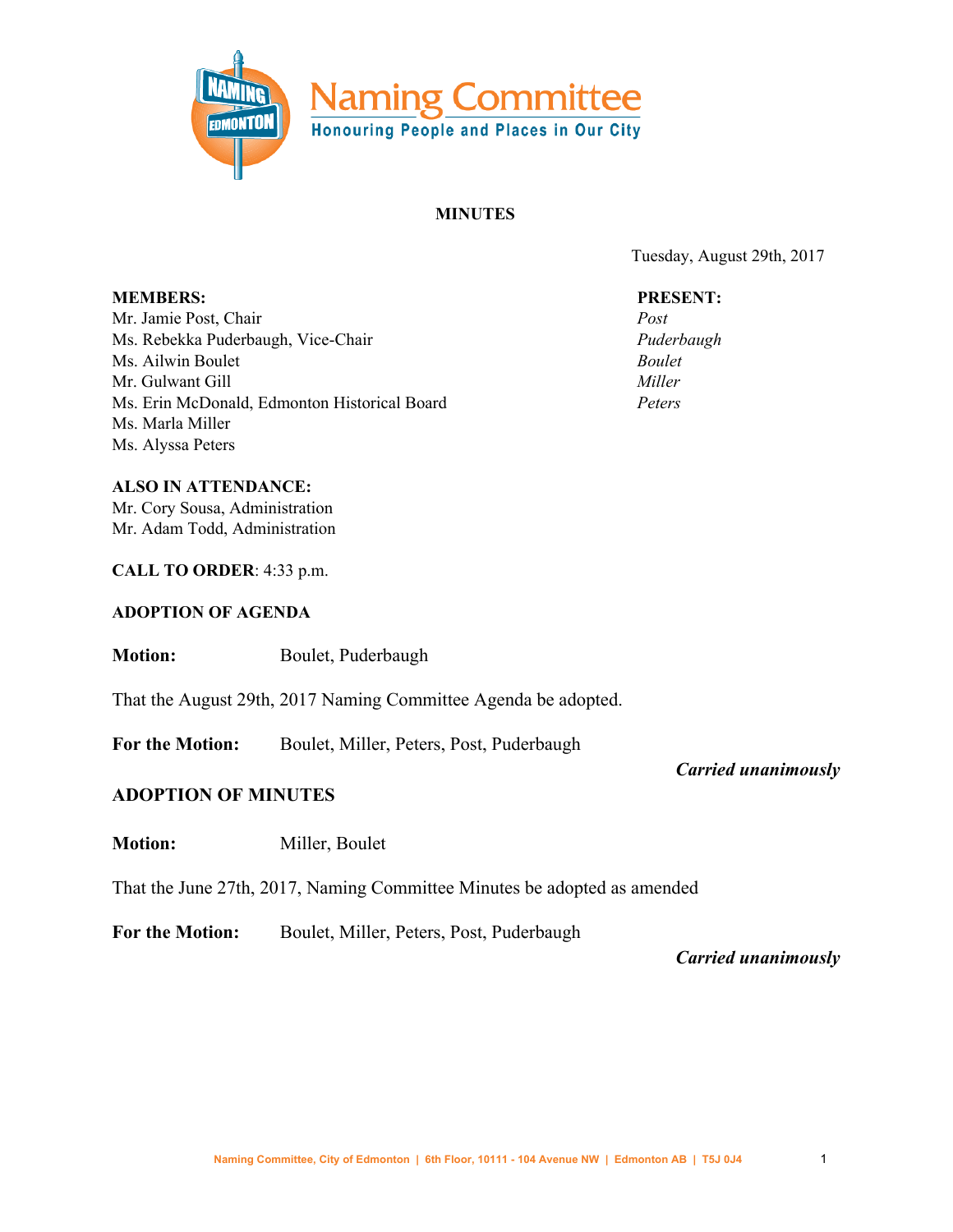

#### **MINUTES**

Tuesday, August 29th, 2017

# **PRESENT:**

*Post Puderbaugh Boulet Miller Peters*

**MEMBERS:** Mr. Jamie Post, Chair Ms. Rebekka Puderbaugh, Vice-Chair Ms. Ailwin Boulet Mr. Gulwant Gill Ms. Erin McDonald, Edmonton Historical Board Ms. Marla Miller Ms. Alyssa Peters

**ALSO IN ATTENDANCE:** Mr. Cory Sousa, Administration Mr. Adam Todd, Administration

**CALL TO ORDER**: 4:33 p.m.

#### **ADOPTION OF AGENDA**

**Motion:** Boulet, Puderbaugh

That the August 29th, 2017 Naming Committee Agenda be adopted.

**For the Motion:** Boulet, Miller, Peters, Post, Puderbaugh

#### **ADOPTION OF MINUTES**

**Motion:** Miller, Boulet

That the June 27th, 2017, Naming Committee Minutes be adopted as amended

**For the Motion:** Boulet, Miller, Peters, Post, Puderbaugh

*Carried unanimously*

*Carried unanimously*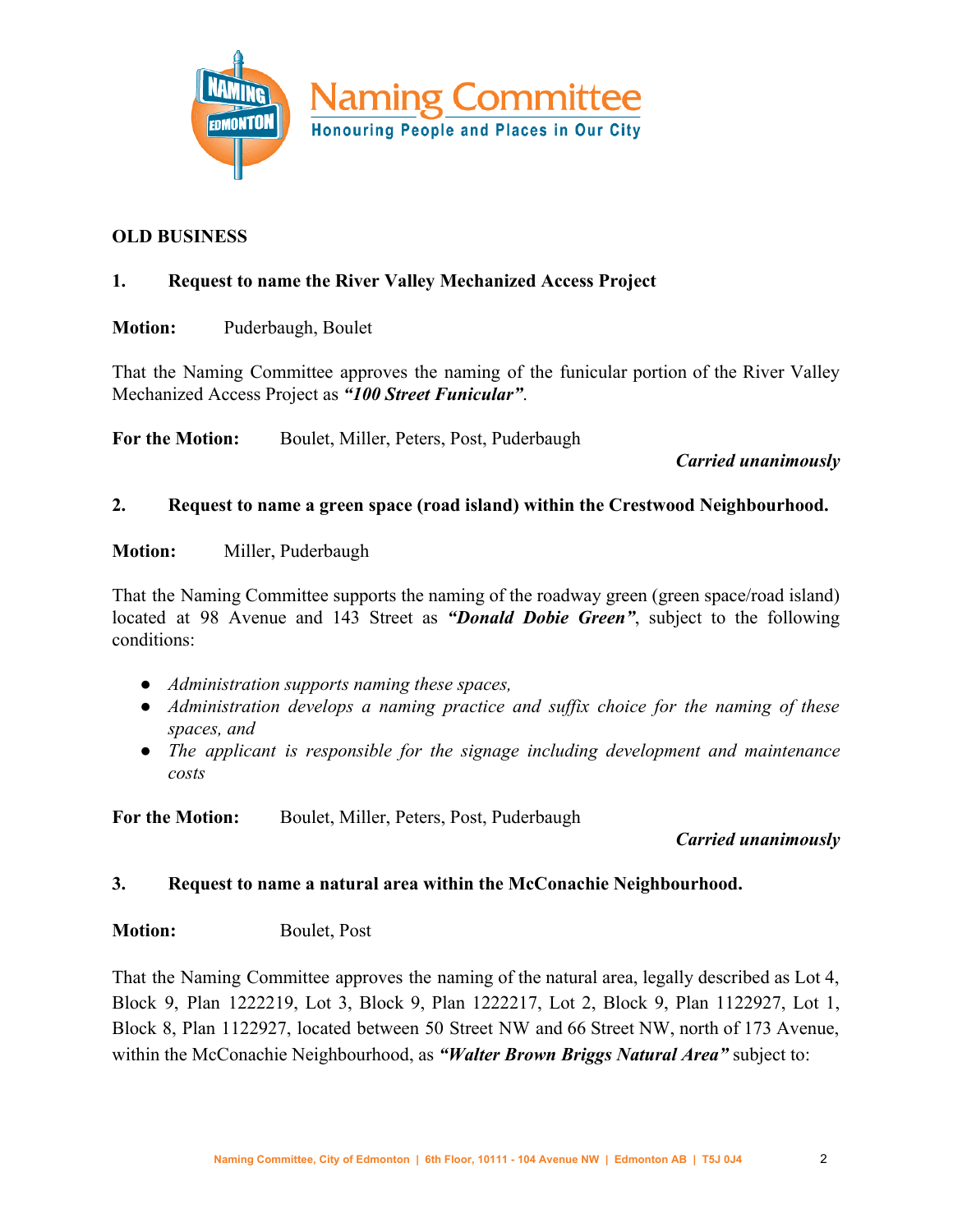

#### **OLD BUSINESS**

#### **1. Request to name the River Valley Mechanized Access Project**

**Motion:** Puderbaugh, Boulet

That the Naming Committee approves the naming of the funicular portion of the River Valley Mechanized Access Project as *"100 Street Funicular"*.

**For the Motion:** Boulet, Miller, Peters, Post, Puderbaugh

*Carried unanimously*

#### **2. Request to name a green space (road island) within the Crestwood Neighbourhood.**

**Motion:** Miller, Puderbaugh

That the Naming Committee supports the naming of the roadway green (green space/road island) located at 98 Avenue and 143 Street as *"Donald Dobie Green"*, subject to the following conditions:

- *● Administration supports naming these spaces,*
- *● Administration develops a naming practice and suffix choice for the naming of these spaces, and*
- *● The applicant is responsible for the signage including development and maintenance costs*

**For the Motion:** Boulet, Miller, Peters, Post, Puderbaugh

### *Carried unanimously*

#### **3. Request to name a natural area within the McConachie Neighbourhood.**

#### **Motion:** Boulet, Post

That the Naming Committee approves the naming of the natural area, legally described as Lot 4, Block 9, Plan 1222219, Lot 3, Block 9, Plan 1222217, Lot 2, Block 9, Plan 1122927, Lot 1, Block 8, Plan 1122927, located between 50 Street NW and 66 Street NW, north of 173 Avenue, within the McConachie Neighbourhood, as *"Walter Brown Briggs Natural Area"* subject to: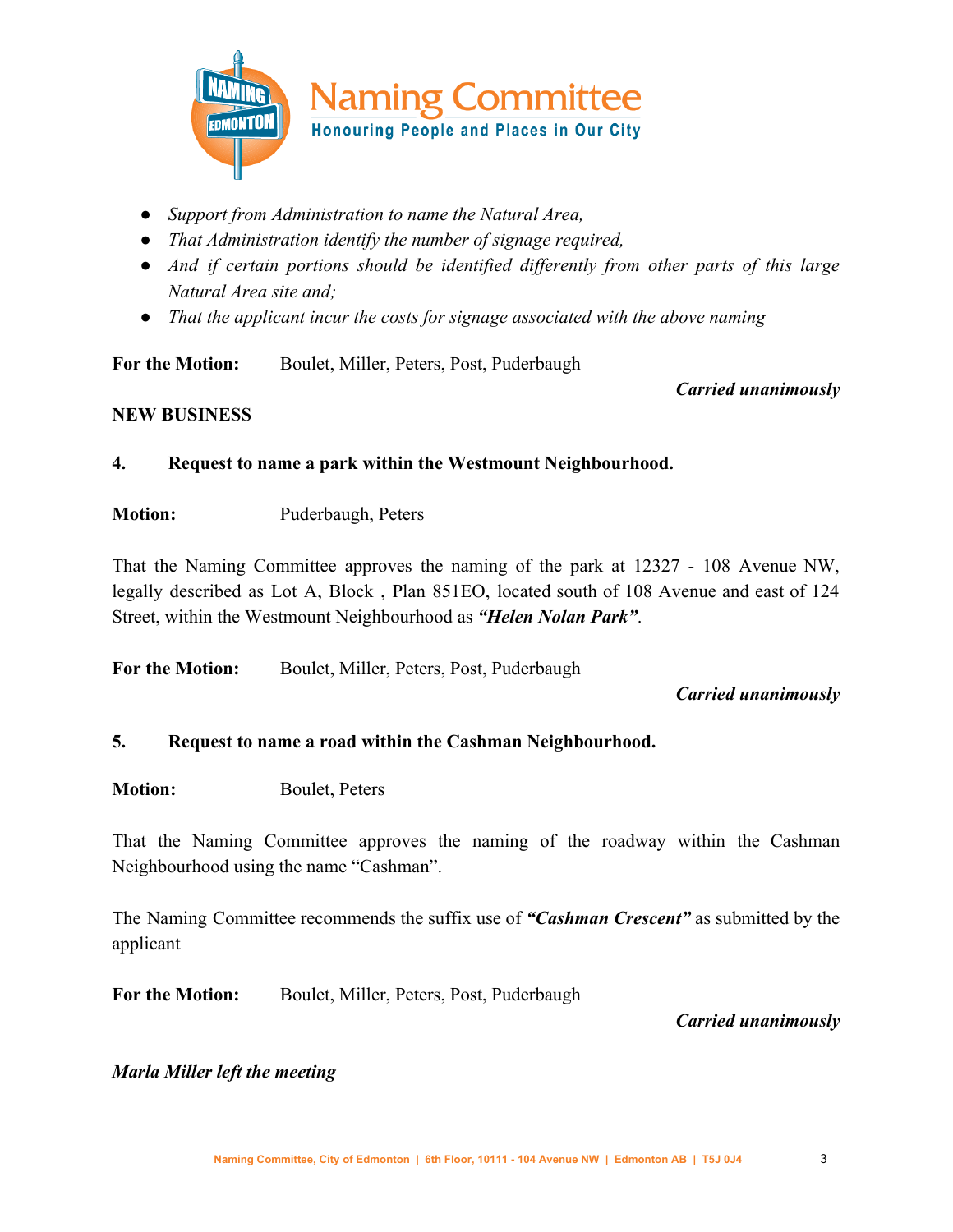

- *● Support from Administration to name the Natural Area,*
- *● That Administration identify the number of signage required,*
- *● And if certain portions should be identified differently from other parts of this large Natural Area site and;*
- *● That the applicant incur the costs for signage associated with the above naming*

**For the Motion:** Boulet, Miller, Peters, Post, Puderbaugh

*Carried unanimously*

#### **NEW BUSINESS**

- **4. Request to name a park within the Westmount Neighbourhood.**
- **Motion:** Puderbaugh, Peters

That the Naming Committee approves the naming of the park at 12327 - 108 Avenue NW, legally described as Lot A, Block , Plan 851EO, located south of 108 Avenue and east of 124 Street, within the Westmount Neighbourhood as *"Helen Nolan Park"*.

**For the Motion:** Boulet, Miller, Peters, Post, Puderbaugh

### *Carried unanimously*

### **5. Request to name a road within the Cashman Neighbourhood.**

**Motion:** Boulet, Peters

That the Naming Committee approves the naming of the roadway within the Cashman Neighbourhood using the name "Cashman".

The Naming Committee recommends the suffix use of *"Cashman Crescent"* as submitted by the applicant

**For the Motion:** Boulet, Miller, Peters, Post, Puderbaugh

*Carried unanimously*

#### *Marla Miller left the meeting*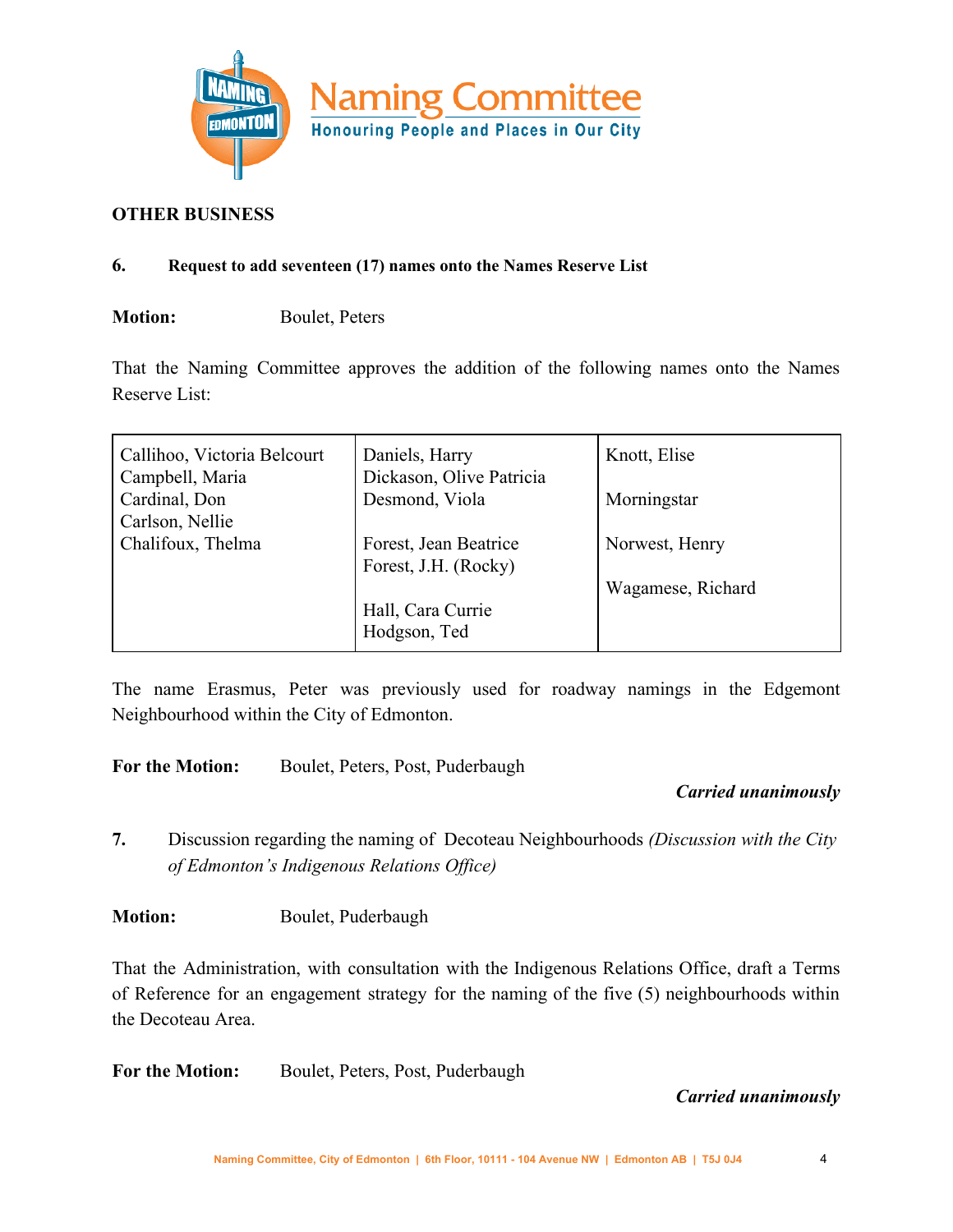

#### **OTHER BUSINESS**

#### **6. Request to add seventeen (17) names onto the Names Reserve List**

### **Motion:** Boulet, Peters

That the Naming Committee approves the addition of the following names onto the Names Reserve List:

| Callihoo, Victoria Belcourt<br>Campbell, Maria | Daniels, Harry<br>Dickason, Olive Patricia    | Knott, Elise      |
|------------------------------------------------|-----------------------------------------------|-------------------|
| Cardinal, Don<br>Carlson, Nellie               | Desmond, Viola                                | Morningstar       |
| Chalifoux, Thelma                              | Forest, Jean Beatrice<br>Forest, J.H. (Rocky) | Norwest, Henry    |
|                                                |                                               | Wagamese, Richard |
|                                                | Hall, Cara Currie<br>Hodgson, Ted             |                   |

The name Erasmus, Peter was previously used for roadway namings in the Edgemont Neighbourhood within the City of Edmonton.

**For the Motion:** Boulet, Peters, Post, Puderbaugh

### *Carried unanimously*

**7.** Discussion regarding the naming of Decoteau Neighbourhoods *(Discussion with the City of Edmonton's Indigenous Relations Office)*

**Motion:** Boulet, Puderbaugh

That the Administration, with consultation with the Indigenous Relations Office, draft a Terms of Reference for an engagement strategy for the naming of the five (5) neighbourhoods within the Decoteau Area.

**For the Motion:** Boulet, Peters, Post, Puderbaugh

### *Carried unanimously*